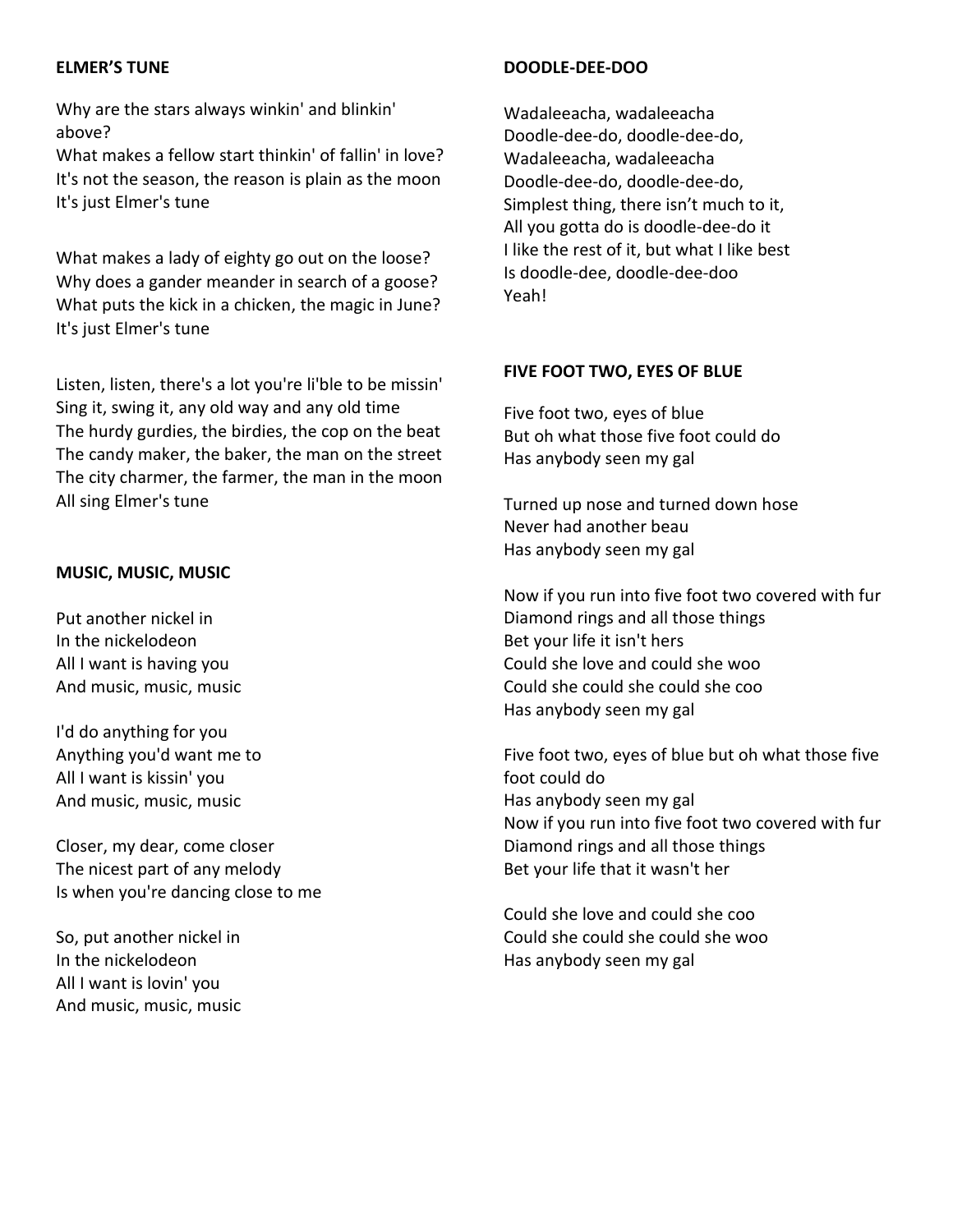## **ELMER'S TUNE**

Why are the stars always winkin' and blinkin' above?

What makes a fellow start thinkin' of fallin' in love? It's not the season, the reason is plain as the moon It's just Elmer's tune

What makes a lady of eighty go out on the loose? Why does a gander meander in search of a goose? What puts the kick in a chicken, the magic in June? It's just Elmer's tune

Listen, listen, there's a lot you're li'ble to be missin' Sing it, swing it, any old way and any old time The hurdy gurdies, the birdies, the cop on the beat The candy maker, the baker, the man on the street The city charmer, the farmer, the man in the moon All sing Elmer's tune

## **MUSIC, MUSIC, MUSIC**

Put another nickel in In the nickelodeon All I want is having you And music, music, music

I'd do anything for you Anything you'd want me to All I want is kissin' you And music, music, music

Closer, my dear, come closer The nicest part of any melody Is when you're dancing close to me

So, put another nickel in In the nickelodeon All I want is lovin' you And music, music, music

# **DOODLE-DEE-DOO**

Wadaleeacha, wadaleeacha Doodle-dee-do, doodle-dee-do, Wadaleeacha, wadaleeacha Doodle-dee-do, doodle-dee-do, Simplest thing, there isn't much to it, All you gotta do is doodle-dee-do it I like the rest of it, but what I like best Is doodle-dee, doodle-dee-doo Yeah!

## **FIVE FOOT TWO, EYES OF BLUE**

Five foot two, eyes of blue But oh what those five foot could do Has anybody seen my gal

Turned up nose and turned down hose Never had another beau Has anybody seen my gal

Now if you run into five foot two covered with fur Diamond rings and all those things Bet your life it isn't hers Could she love and could she woo Could she could she could she coo Has anybody seen my gal

Five foot two, eyes of blue but oh what those five foot could do Has anybody seen my gal Now if you run into five foot two covered with fur Diamond rings and all those things Bet your life that it wasn't her

Could she love and could she coo Could she could she could she woo Has anybody seen my gal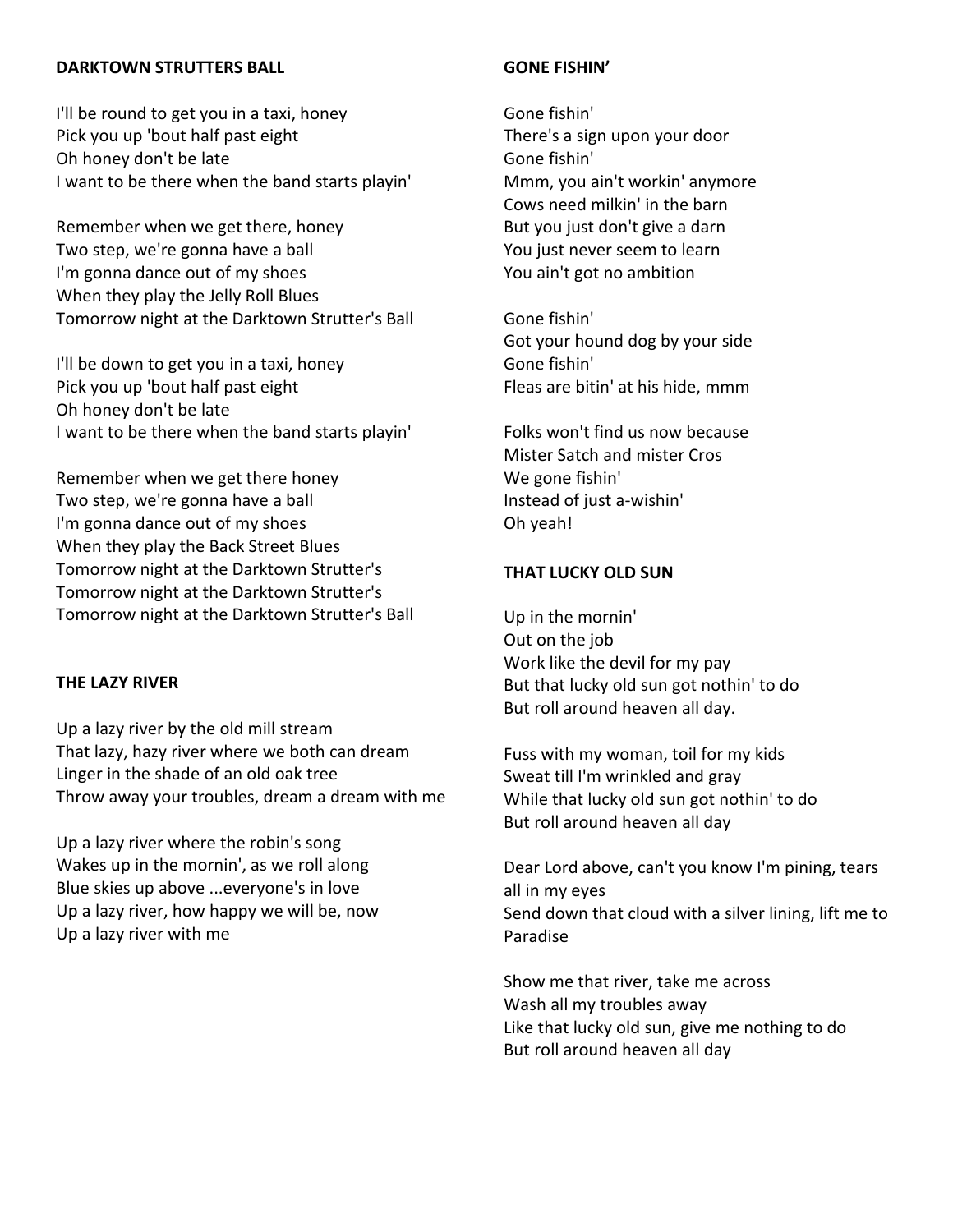## **DARKTOWN STRUTTERS BALL**

I'll be round to get you in a taxi, honey Pick you up 'bout half past eight Oh honey don't be late I want to be there when the band starts playin'

Remember when we get there, honey Two step, we're gonna have a ball I'm gonna dance out of my shoes When they play the Jelly Roll Blues Tomorrow night at the Darktown Strutter's Ball

I'll be down to get you in a taxi, honey Pick you up 'bout half past eight Oh honey don't be late I want to be there when the band starts playin'

Remember when we get there honey Two step, we're gonna have a ball I'm gonna dance out of my shoes When they play the Back Street Blues Tomorrow night at the Darktown Strutter's Tomorrow night at the Darktown Strutter's Tomorrow night at the Darktown Strutter's Ball

### **THE LAZY RIVER**

Up a lazy river by the old mill stream That lazy, hazy river where we both can dream Linger in the shade of an old oak tree Throw away your troubles, dream a dream with me

Up a lazy river where the robin's song Wakes up in the mornin', as we roll along Blue skies up above ...everyone's in love Up a lazy river, how happy we will be, now Up a lazy river with me

### **GONE FISHIN'**

Gone fishin' There's a sign upon your door Gone fishin' Mmm, you ain't workin' anymore Cows need milkin' in the barn But you just don't give a darn You just never seem to learn You ain't got no ambition

Gone fishin' Got your hound dog by your side Gone fishin' Fleas are bitin' at his hide, mmm

Folks won't find us now because Mister Satch and mister Cros We gone fishin' Instead of just a-wishin' Oh yeah!

#### **THAT LUCKY OLD SUN**

Up in the mornin' Out on the job Work like the devil for my pay But that lucky old sun got nothin' to do But roll around heaven all day.

Fuss with my woman, toil for my kids Sweat till I'm wrinkled and gray While that lucky old sun got nothin' to do But roll around heaven all day

Dear Lord above, can't you know I'm pining, tears all in my eyes Send down that cloud with a silver lining, lift me to Paradise

Show me that river, take me across Wash all my troubles away Like that lucky old sun, give me nothing to do But roll around heaven all day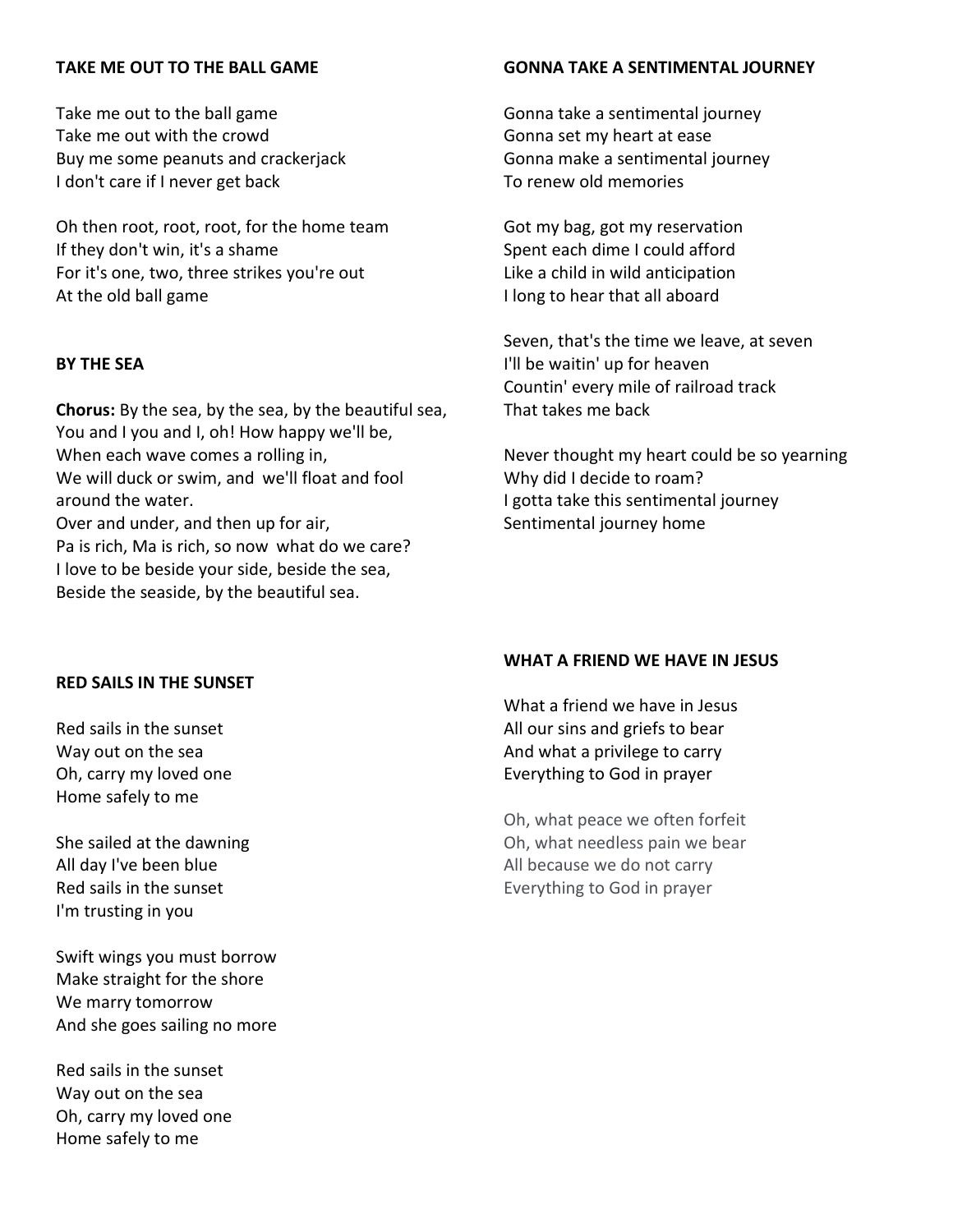# **TAKE ME OUT TO THE BALL GAME**

Take me out to the ball game Take me out with the crowd Buy me some peanuts and crackerjack I don't care if I never get back

Oh then root, root, root, for the home team If they don't win, it's a shame For it's one, two, three strikes you're out At the old ball game

#### **BY THE SEA**

**Chorus:** By the sea, by the sea, by the beautiful sea, You and I you and I, oh! How happy we'll be, When each wave comes a rolling in, We will duck or swim, and we'll float and fool around the water. Over and under, and then up for air, Pa is rich, Ma is rich, so now what do we care? I love to be beside your side, beside the sea, Beside the seaside, by the beautiful sea.

#### **GONNA TAKE A SENTIMENTAL JOURNEY**

Gonna take a sentimental journey Gonna set my heart at ease Gonna make a sentimental journey To renew old memories

Got my bag, got my reservation Spent each dime I could afford Like a child in wild anticipation I long to hear that all aboard

Seven, that's the time we leave, at seven I'll be waitin' up for heaven Countin' every mile of railroad track That takes me back

Never thought my heart could be so yearning Why did I decide to roam? I gotta take this sentimental journey Sentimental journey home

#### **RED SAILS IN THE SUNSET**

Red sails in the sunset Way out on the sea Oh, carry my loved one Home safely to me

She sailed at the dawning All day I've been blue Red sails in the sunset I'm trusting in you

Swift wings you must borrow Make straight for the shore We marry tomorrow And she goes sailing no more

Red sails in the sunset Way out on the sea Oh, carry my loved one Home safely to me

### **WHAT A FRIEND WE HAVE IN JESUS**

What a friend we have in Jesus All our sins and griefs to bear And what a privilege to carry Everything to God in prayer

Oh, what peace we often forfeit Oh, what needless pain we bear All because we do not carry Everything to God in prayer